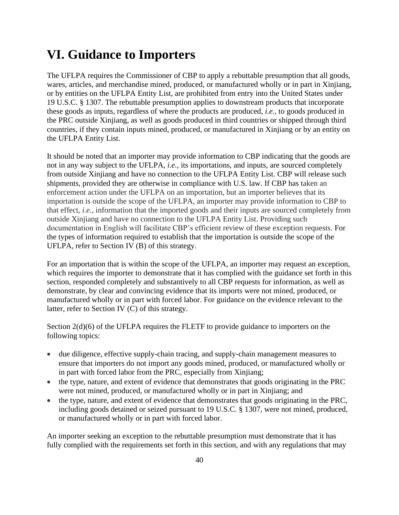# **VI. Guidance to Importers**

The UFLPA requires the Commissioner of CBP to apply a rebuttable presumption that all goods, wares, articles, and merchandise mined, produced, or manufactured wholly or in part in Xinjiang, or by entities on the UFLPA Entity List, are prohibited from entry into the United States under 19 U.S.C. § 1307. The rebuttable presumption applies to downstream products that incorporate these goods as inputs, regardless of where the products are produced, *i.e.,* to goods produced in the PRC outside Xinjiang, as well as goods produced in third countries or shipped through third countries, if they contain inputs mined, produced, or manufactured in Xinjiang or by an entity on the UFLPA Entity List.

It should be noted that an importer may provide information to CBP indicating that the goods are not in any way subject to the UFLPA, *i.e.,* its importations, and inputs, are sourced completely from outside Xinjiang and have no connection to the UFLPA Entity List. CBP will release such shipments, provided they are otherwise in compliance with U.S. law. If CBP has taken an enforcement action under the UFLPA on an importation, but an importer believes that its importation is outside the scope of the UFLPA, an importer may provide information to CBP to that effect, *i.e.*, information that the imported goods and their inputs are sourced completely from outside Xinjiang and have no connection to the UFLPA Entity List. Providing such documentation in English will facilitate CBP's efficient review of these exception requests. For the types of information required to establish that the importation is outside the scope of the UFLPA, refer to Section IV (B) of this strategy.

For an importation that is within the scope of the UFLPA, an importer may request an exception, which requires the importer to demonstrate that it has complied with the guidance set forth in this section, responded completely and substantively to all CBP requests for information, as well as demonstrate, by clear and convincing evidence that its imports were not mined, produced, or manufactured wholly or in part with forced labor. For guidance on the evidence relevant to the latter, refer to Section IV (C) of this strategy.

Section 2(d)(6) of the UFLPA requires the FLETF to provide guidance to importers on the following topics:

- due diligence, effective supply-chain tracing, and supply-chain management measures to ensure that importers do not import any goods mined, produced, or manufactured wholly or in part with forced labor from the PRC, especially from Xinjiang;
- the type, nature, and extent of evidence that demonstrates that goods originating in the PRC were not mined, produced, or manufactured wholly or in part in Xinjiang; and
- the type, nature, and extent of evidence that demonstrates that goods originating in the PRC, including goods detained or seized pursuant to 19 U.S.C. § 1307, were not mined, produced, or manufactured wholly or in part with forced labor.

An importer seeking an exception to the rebuttable presumption must demonstrate that it has fully complied with the requirements set forth in this section, and with any regulations that may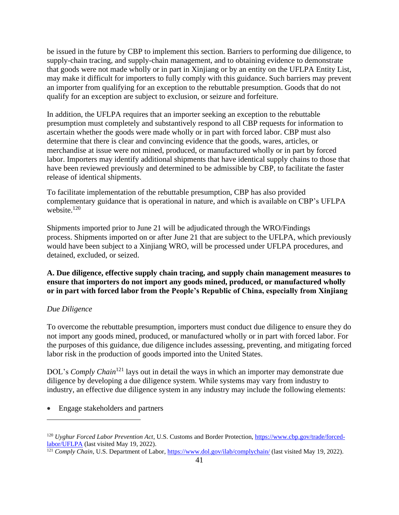be issued in the future by CBP to implement this section. Barriers to performing due diligence, to supply-chain tracing, and supply-chain management, and to obtaining evidence to demonstrate that goods were not made wholly or in part in Xinjiang or by an entity on the UFLPA Entity List, may make it difficult for importers to fully comply with this guidance. Such barriers may prevent an importer from qualifying for an exception to the rebuttable presumption. Goods that do not qualify for an exception are subject to exclusion, or seizure and forfeiture.

In addition, the UFLPA requires that an importer seeking an exception to the rebuttable presumption must completely and substantively respond to all CBP requests for information to ascertain whether the goods were made wholly or in part with forced labor. CBP must also determine that there is clear and convincing evidence that the goods, wares, articles, or merchandise at issue were not mined, produced, or manufactured wholly or in part by forced labor. Importers may identify additional shipments that have identical supply chains to those that have been reviewed previously and determined to be admissible by CBP, to facilitate the faster release of identical shipments.

To facilitate implementation of the rebuttable presumption, CBP has also provided complementary guidance that is operational in nature, and which is available on CBP's UFLPA website.<sup>120</sup>

Shipments imported prior to June 21 will be adjudicated through the WRO/Findings process. Shipments imported on or after June 21 that are subject to the UFLPA, which previously would have been subject to a Xinjiang WRO, will be processed under UFLPA procedures, and detained, excluded, or seized.

# **A. Due diligence, effective supply chain tracing, and supply chain management measures to ensure that importers do not import any goods mined, produced, or manufactured wholly or in part with forced labor from the People's Republic of China, especially from Xinjiang**

### *Due Diligence*

To overcome the rebuttable presumption, importers must conduct due diligence to ensure they do not import any goods mined, produced, or manufactured wholly or in part with forced labor. For the purposes of this guidance, due diligence includes assessing, preventing, and mitigating forced labor risk in the production of goods imported into the United States.

DOL's *Comply Chain*<sup>121</sup> lays out in detail the ways in which an importer may demonstrate due diligence by developing a due diligence system. While systems may vary from industry to industry, an effective due diligence system in any industry may include the following elements:

• Engage stakeholders and partners

<sup>120</sup> *Uyghur Forced Labor Prevention Act*, U.S. Customs and Border Protection, https://www.cbp.gov/trade/forcedlabor/UFLPA (last visited May 19, 2022).

<sup>&</sup>lt;sup>121</sup> *Comply Chain*, U.S. Department of Labor, https://www.dol.gov/ilab/complychain/ (last visited May 19, 2022).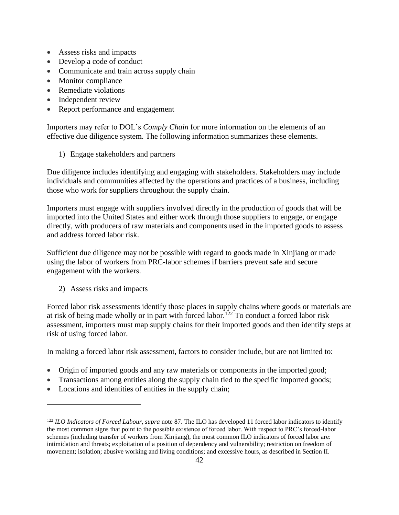- Assess risks and impacts
- Develop a code of conduct
- Communicate and train across supply chain
- Monitor compliance
- Remediate violations
- Independent review
- Report performance and engagement

Importers may refer to DOL's *Comply Chain* for more information on the elements of an effective due diligence system. The following information summarizes these elements.

1) Engage stakeholders and partners

Due diligence includes identifying and engaging with stakeholders. Stakeholders may include individuals and communities affected by the operations and practices of a business, including those who work for suppliers throughout the supply chain.

Importers must engage with suppliers involved directly in the production of goods that will be imported into the United States and either work through those suppliers to engage, or engage directly, with producers of raw materials and components used in the imported goods to assess and address forced labor risk.

Sufficient due diligence may not be possible with regard to goods made in Xinjiang or made using the labor of workers from PRC-labor schemes if barriers prevent safe and secure engagement with the workers.

2) Assess risks and impacts

Forced labor risk assessments identify those places in supply chains where goods or materials are at risk of being made wholly or in part with forced labor.<sup>122</sup> To conduct a forced labor risk assessment, importers must map supply chains for their imported goods and then identify steps at risk of using forced labor.

In making a forced labor risk assessment, factors to consider include, but are not limited to:

- Origin of imported goods and any raw materials or components in the imported good;
- Transactions among entities along the supply chain tied to the specific imported goods;
- Locations and identities of entities in the supply chain;

<sup>122</sup> *ILO Indicators of Forced Labour*, *supra* note 87. The ILO has developed 11 forced labor indicators to identify the most common signs that point to the possible existence of forced labor. With respect to PRC's forced-labor schemes (including transfer of workers from Xinjiang), the most common ILO indicators of forced labor are: intimidation and threats; exploitation of a position of dependency and vulnerability; restriction on freedom of movement; isolation; abusive working and living conditions; and excessive hours, as described in Section II.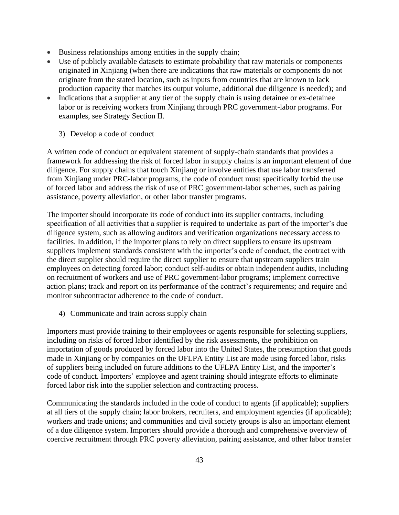- Business relationships among entities in the supply chain;
- Use of publicly available datasets to estimate probability that raw materials or components originated in Xinjiang (when there are indications that raw materials or components do not originate from the stated location, such as inputs from countries that are known to lack production capacity that matches its output volume, additional due diligence is needed); and
- Indications that a supplier at any tier of the supply chain is using detainee or ex-detainee labor or is receiving workers from Xinjiang through PRC government-labor programs. For examples, see Strategy Section II.
	- 3) Develop a code of conduct

A written code of conduct or equivalent statement of supply-chain standards that provides a framework for addressing the risk of forced labor in supply chains is an important element of due diligence. For supply chains that touch Xinjiang or involve entities that use labor transferred from Xinjiang under PRC-labor programs, the code of conduct must specifically forbid the use of forced labor and address the risk of use of PRC government-labor schemes, such as pairing assistance, poverty alleviation, or other labor transfer programs.

The importer should incorporate its code of conduct into its supplier contracts, including specification of all activities that a supplier is required to undertake as part of the importer's due diligence system, such as allowing auditors and verification organizations necessary access to facilities. In addition, if the importer plans to rely on direct suppliers to ensure its upstream suppliers implement standards consistent with the importer's code of conduct, the contract with the direct supplier should require the direct supplier to ensure that upstream suppliers train employees on detecting forced labor; conduct self-audits or obtain independent audits, including on recruitment of workers and use of PRC government-labor programs; implement corrective action plans; track and report on its performance of the contract's requirements; and require and monitor subcontractor adherence to the code of conduct.

4) Communicate and train across supply chain

Importers must provide training to their employees or agents responsible for selecting suppliers, including on risks of forced labor identified by the risk assessments, the prohibition on importation of goods produced by forced labor into the United States, the presumption that goods made in Xinjiang or by companies on the UFLPA Entity List are made using forced labor, risks of suppliers being included on future additions to the UFLPA Entity List, and the importer's code of conduct. Importers' employee and agent training should integrate efforts to eliminate forced labor risk into the supplier selection and contracting process.

Communicating the standards included in the code of conduct to agents (if applicable); suppliers at all tiers of the supply chain; labor brokers, recruiters, and employment agencies (if applicable); workers and trade unions; and communities and civil society groups is also an important element of a due diligence system. Importers should provide a thorough and comprehensive overview of coercive recruitment through PRC poverty alleviation, pairing assistance, and other labor transfer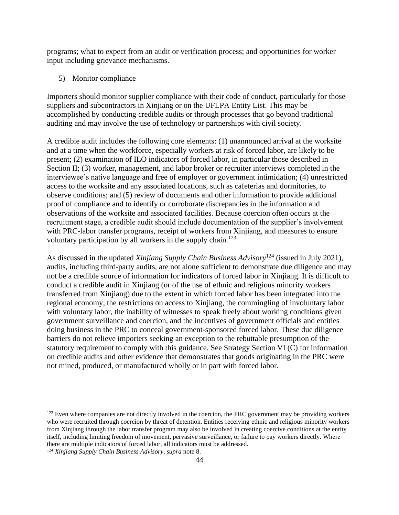programs; what to expect from an audit or verification process; and opportunities for worker input including grievance mechanisms.

5) Monitor compliance

Importers should monitor supplier compliance with their code of conduct, particularly for those suppliers and subcontractors in Xinjiang or on the UFLPA Entity List. This may be accomplished by conducting credible audits or through processes that go beyond traditional auditing and may involve the use of technology or partnerships with civil society.

A credible audit includes the following core elements: (1) unannounced arrival at the worksite and at a time when the workforce, especially workers at risk of forced labor, are likely to be present; (2) examination of ILO indicators of forced labor, in particular those described in Section II; (3) worker, management, and labor broker or recruiter interviews completed in the interviewee's native language and free of employer or government intimidation; (4) unrestricted access to the worksite and any associated locations, such as cafeterias and dormitories, to observe conditions; and (5) review of documents and other information to provide additional proof of compliance and to identify or corroborate discrepancies in the information and observations of the worksite and associated facilities. Because coercion often occurs at the recruitment stage, a credible audit should include documentation of the supplier's involvement with PRC-labor transfer programs, receipt of workers from Xinjiang, and measures to ensure voluntary participation by all workers in the supply chain.<sup>123</sup>

As discussed in the updated *Xinjiang Supply Chain Business Advisory*<sup>124</sup> (issued in July 2021), audits, including third-party audits, are not alone sufficient to demonstrate due diligence and may not be a credible source of information for indicators of forced labor in Xinjiang. It is difficult to conduct a credible audit in Xinjiang (or of the use of ethnic and religious minority workers transferred from Xinjiang) due to the extent in which forced labor has been integrated into the regional economy, the restrictions on access to Xinjiang, the commingling of involuntary labor with voluntary labor, the inability of witnesses to speak freely about working conditions given government surveillance and coercion, and the incentives of government officials and entities doing business in the PRC to conceal government-sponsored forced labor. These due diligence barriers do not relieve importers seeking an exception to the rebuttable presumption of the statutory requirement to comply with this guidance. See Strategy Section VI (C) for information on credible audits and other evidence that demonstrates that goods originating in the PRC were not mined, produced, or manufactured wholly or in part with forced labor.

 $123$  Even where companies are not directly involved in the coercion, the PRC government may be providing workers who were recruited through coercion by threat of detention. Entities receiving ethnic and religious minority workers from Xinjiang through the labor transfer program may also be involved in creating coercive conditions at the entity itself, including limiting freedom of movement, pervasive surveillance, or failure to pay workers directly. Where there are multiple indicators of forced labor, all indicators must be addressed.

<sup>124</sup> *Xinjiang Supply Chain Business Advisory*, *supra* note 8.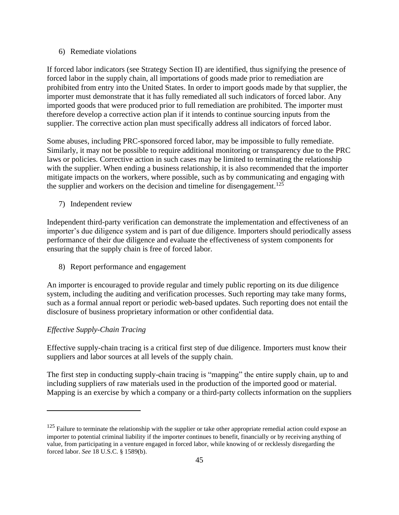### 6) Remediate violations

If forced labor indicators (see Strategy Section II) are identified, thus signifying the presence of forced labor in the supply chain, all importations of goods made prior to remediation are prohibited from entry into the United States. In order to import goods made by that supplier, the importer must demonstrate that it has fully remediated all such indicators of forced labor. Any imported goods that were produced prior to full remediation are prohibited. The importer must therefore develop a corrective action plan if it intends to continue sourcing inputs from the supplier. The corrective action plan must specifically address all indicators of forced labor.

Some abuses, including PRC-sponsored forced labor, may be impossible to fully remediate. Similarly, it may not be possible to require additional monitoring or transparency due to the PRC laws or policies. Corrective action in such cases may be limited to terminating the relationship with the supplier. When ending a business relationship, it is also recommended that the importer mitigate impacts on the workers, where possible, such as by communicating and engaging with the supplier and workers on the decision and timeline for disengagement.<sup>125</sup>

7) Independent review

Independent third-party verification can demonstrate the implementation and effectiveness of an importer's due diligence system and is part of due diligence. Importers should periodically assess performance of their due diligence and evaluate the effectiveness of system components for ensuring that the supply chain is free of forced labor.

8) Report performance and engagement

An importer is encouraged to provide regular and timely public reporting on its due diligence system, including the auditing and verification processes. Such reporting may take many forms, such as a formal annual report or periodic web-based updates. Such reporting does not entail the disclosure of business proprietary information or other confidential data.

### *Effective Supply-Chain Tracing*

Effective supply-chain tracing is a critical first step of due diligence. Importers must know their suppliers and labor sources at all levels of the supply chain.

The first step in conducting supply-chain tracing is "mapping" the entire supply chain, up to and including suppliers of raw materials used in the production of the imported good or material. Mapping is an exercise by which a company or a third-party collects information on the suppliers

 $125$  Failure to terminate the relationship with the supplier or take other appropriate remedial action could expose an importer to potential criminal liability if the importer continues to benefit, financially or by receiving anything of value, from participating in a venture engaged in forced labor, while knowing of or recklessly disregarding the forced labor. *See* 18 U.S.C. § 1589(b).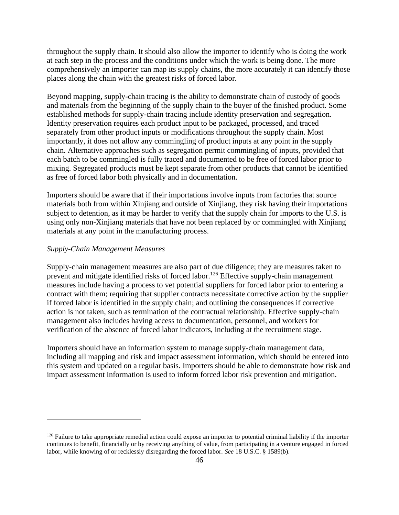throughout the supply chain. It should also allow the importer to identify who is doing the work at each step in the process and the conditions under which the work is being done. The more comprehensively an importer can map its supply chains, the more accurately it can identify those places along the chain with the greatest risks of forced labor.

Beyond mapping, supply-chain tracing is the ability to demonstrate chain of custody of goods and materials from the beginning of the supply chain to the buyer of the finished product. Some established methods for supply-chain tracing include identity preservation and segregation. Identity preservation requires each product input to be packaged, processed, and traced separately from other product inputs or modifications throughout the supply chain. Most importantly, it does not allow any commingling of product inputs at any point in the supply chain. Alternative approaches such as segregation permit commingling of inputs, provided that each batch to be commingled is fully traced and documented to be free of forced labor prior to mixing. Segregated products must be kept separate from other products that cannot be identified as free of forced labor both physically and in documentation.

Importers should be aware that if their importations involve inputs from factories that source materials both from within Xinjiang and outside of Xinjiang, they risk having their importations subject to detention, as it may be harder to verify that the supply chain for imports to the U.S. is using only non-Xinjiang materials that have not been replaced by or commingled with Xinjiang materials at any point in the manufacturing process.

#### *Supply-Chain Management Measures*

Supply-chain management measures are also part of due diligence; they are measures taken to prevent and mitigate identified risks of forced labor.<sup>126</sup> Effective supply-chain management measures include having a process to vet potential suppliers for forced labor prior to entering a contract with them; requiring that supplier contracts necessitate corrective action by the supplier if forced labor is identified in the supply chain; and outlining the consequences if corrective action is not taken, such as termination of the contractual relationship. Effective supply-chain management also includes having access to documentation, personnel, and workers for verification of the absence of forced labor indicators, including at the recruitment stage.

Importers should have an information system to manage supply-chain management data, including all mapping and risk and impact assessment information, which should be entered into this system and updated on a regular basis. Importers should be able to demonstrate how risk and impact assessment information is used to inform forced labor risk prevention and mitigation.

 $126$  Failure to take appropriate remedial action could expose an importer to potential criminal liability if the importer continues to benefit, financially or by receiving anything of value, from participating in a venture engaged in forced labor, while knowing of or recklessly disregarding the forced labor. *See* 18 U.S.C. § 1589(b).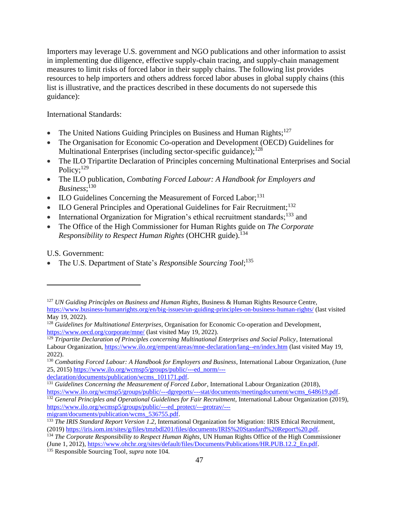Importers may leverage U.S. government and NGO publications and other information to assist in implementing due diligence, effective supply-chain tracing, and supply-chain management measures to limit risks of forced labor in their supply chains. The following list provides resources to help importers and others address forced labor abuses in global supply chains (this list is illustrative, and the practices described in these documents do not supersede this guidance):

International Standards:

- The United Nations Guiding Principles on Business and Human Rights;<sup>127</sup>
- The Organisation for Economic Co-operation and Development (OECD) Guidelines for Multinational Enterprises (including sector-specific guidance);<sup>128</sup>
- The ILO Tripartite Declaration of Principles concerning Multinational Enterprises and Social Policy;<sup>129</sup>
- The ILO publication, *Combating Forced Labour: A Handbook for Employers and Business*; 130
- ILO Guidelines Concerning the Measurement of Forced Labor;<sup>131</sup>
- ILO General Principles and Operational Guidelines for Fair Recruitment;<sup>132</sup>
- International Organization for Migration's ethical recruitment standards;<sup>133</sup> and
- The Office of the High Commissioner for Human Rights guide on *The Corporate Responsibility to Respect Human Rights* (OHCHR guide).<sup>134</sup>

U.S. Government:

• The U.S. Department of State's *Responsible Sourcing Tool*;<sup>135</sup>

declaration/documents/publication/wcms\_101171.pdf.

<sup>132</sup> *General Principles and Operational Guidelines for Fair Recruitment*, International Labour Organization (2019), https://www.ilo.org/wcmsp5/groups/public/---ed\_protect/---protrav/---

migrant/documents/publication/wcms\_536755.pdf.

<sup>135</sup> Responsible Sourcing Tool, *supra* note 104.

<sup>127</sup> *UN Guiding Principles on Business and Human Rights*, Business & Human Rights Resource Centre, https://www.business-humanrights.org/en/big-issues/un-guiding-principles-on-business-human-rights/ (last visited May 19, 2022).

<sup>128</sup> *Guidelines for Multinational Enterprises*, Organisation for Economic Co-operation and Development, https://www.oecd.org/corporate/mne/ (last visited May 19, 2022).

<sup>129</sup> *Tripartite Declaration of Principles concerning Multinational Enterprises and Social Policy*, International Labour Organization, https://www.ilo.org/empent/areas/mne-declaration/lang--en/index.htm (last visited May 19, 2022).

<sup>130</sup> *Combating Forced Labour: A Handbook for Employers and Business*, International Labour Organization, (June 25, 2015) https://www.ilo.org/wcmsp5/groups/public/---ed\_norm/---

<sup>&</sup>lt;sup>131</sup> *Guidelines Concerning the Measurement of Forced Labor*, International Labour Organization (2018), https://www.ilo.org/wcmsp5/groups/public/---dgreports/---stat/documents/meetingdocument/wcms\_648619.pdf.

<sup>&</sup>lt;sup>133</sup> *The IRIS Standard Report Version 1.2*, International Organization for Migration: IRIS Ethical Recruitment, (2019) https://iris.iom.int/sites/g/files/tmzbdl201/files/documents/IRIS%20Standard%20Report%20.pdf.

<sup>&</sup>lt;sup>134</sup> *The Corporate Responsibility to Respect Human Rights*, UN Human Rights Office of the High Commissioner (June 1, 2012), https://www.ohchr.org/sites/default/files/Documents/Publications/HR.PUB.12.2\_En.pdf.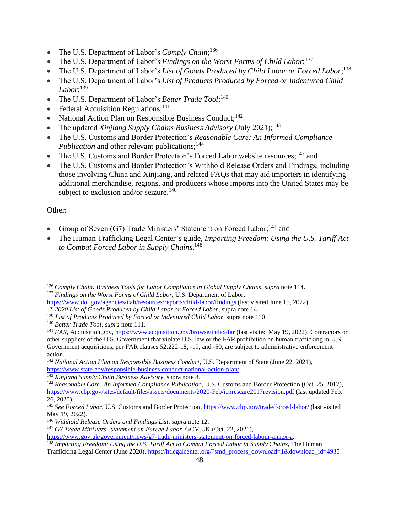- The U.S. Department of Labor's *Comply Chain*;<sup>136</sup>
- The U.S. Department of Labor's *Findings on the Worst Forms of Child Labor*;<sup>137</sup>
- The U.S. Department of Labor's List of Goods Produced by Child Labor or Forced Labor;<sup>138</sup>
- The U.S. Department of Labor's *List of Products Produced by Forced or Indentured Child Labor*; 139
- The U.S. Department of Labor's *Better Trade Tool*;<sup>140</sup>
- Federal Acquisition Regulations;<sup>141</sup>
- National Action Plan on Responsible Business Conduct;<sup>142</sup>
- The updated *Xinjiang Supply Chains Business Advisory* (July 2021);<sup>143</sup>
- The U.S. Customs and Border Protection's *Reasonable Care: An Informed Compliance Publication* and other relevant publications;<sup>144</sup>
- The U.S. Customs and Border Protection's Forced Labor website resources;<sup>145</sup> and
- The U.S. Customs and Border Protection's Withhold Release Orders and Findings, including those involving China and Xinjiang, and related FAQs that may aid importers in identifying additional merchandise, regions, and producers whose imports into the United States may be subject to exclusion and/or seizure.<sup>146</sup>

# Other:

- Group of Seven (G7) Trade Ministers' Statement on Forced Labor;<sup>147</sup> and
- The Human Trafficking Legal Center's guide, *Importing Freedom: Using the U.S. Tariff Act to Combat Forced Labor in Supply Chains*. 148

<sup>136</sup> *Comply Chain: Business Tools for Labor Compliance in Global Supply Chains*, *supra* note 114.

<sup>137</sup> *Findings on the Worst Forms of Child Labor,* U.S. Department of Labor,

https://www.dol.gov/agencies/ilab/resources/reports/child-labor/findings (last visited June 15, 2022).

<sup>138</sup> *2020 List of Goods Produced by Child Labor or Forced Labor*, supra note 14.

<sup>139</sup> *List of Products Produced by Forced or Indentured Child Labor,* supra note 110.

<sup>140</sup> *Better Trade Tool*, *supra* note 111.

<sup>141</sup> *FAR*, Acquisition.gov, https://www.acquisition.gov/browse/index/far (last visited May 19, 2022). Contractors or other suppliers of the U.S. Government that violate U.S. law or the FAR prohibition on human trafficking in U.S. Government acquisitions, per FAR clauses 52.222-18, -19, and -50, are subject to administrative enforcement action.

<sup>&</sup>lt;sup>142</sup> *National Action Plan on Responsible Business Conduct*, U.S. Department of State (June 22, 2021), https://www.state.gov/responsible-business-conduct-national-action-plan/.

<sup>143</sup> *Xinjiang Supply Chain Business Advisory*, supra note 8.

<sup>144</sup> *Reasonable Care: An Informed Compliance Publication*, U.S. Customs and Border Protection (Oct. 25, 2017), https://www.cbp.gov/sites/default/files/assets/documents/2020-Feb/icprescare2017revision.pdf (last updated Feb. 26, 2020).

<sup>145</sup> *See Forced Labor*, U.S. Customs and Border Protection, https://www.cbp.gov/trade/forced-labor/ (last visited May 19, 2022).

<sup>146</sup> *Withhold Release Orders and Findings List*, *supra* note 12.

<sup>147</sup> *G7 Trade Ministers' Statement on Forced Labor*, GOV.UK (Oct. 22, 2021),

https://www.gov.uk/government/news/g7-trade-ministers-statement-on-forced-labour-annex-a.

<sup>148</sup> *Importing Freedom: Using the U.S. Tariff Act to Combat Forced Labor in Supply Chains*, The Human

Trafficking Legal Center (June 2020), https://htlegalcenter.org/?smd\_process\_download=1&download\_id=4935.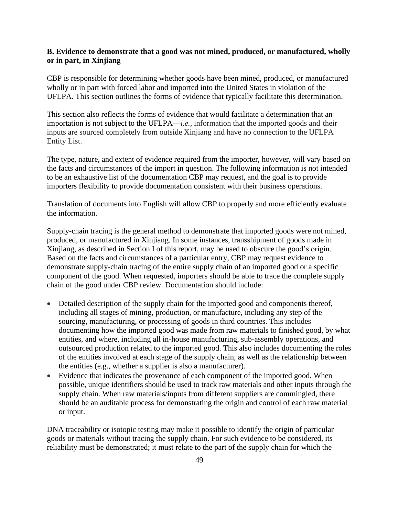#### **B. Evidence to demonstrate that a good was not mined, produced, or manufactured, wholly or in part, in Xinjiang**

CBP is responsible for determining whether goods have been mined, produced, or manufactured wholly or in part with forced labor and imported into the United States in violation of the UFLPA. This section outlines the forms of evidence that typically facilitate this determination.

This section also reflects the forms of evidence that would facilitate a determination that an importation is not subject to the UFLPA—*i.e.*, information that the imported goods and their inputs are sourced completely from outside Xinjiang and have no connection to the UFLPA Entity List.

The type, nature, and extent of evidence required from the importer, however, will vary based on the facts and circumstances of the import in question. The following information is not intended to be an exhaustive list of the documentation CBP may request, and the goal is to provide importers flexibility to provide documentation consistent with their business operations.

Translation of documents into English will allow CBP to properly and more efficiently evaluate the information.

Supply-chain tracing is the general method to demonstrate that imported goods were not mined, produced, or manufactured in Xinjiang. In some instances, transshipment of goods made in Xinjiang, as described in Section I of this report, may be used to obscure the good's origin. Based on the facts and circumstances of a particular entry, CBP may request evidence to demonstrate supply-chain tracing of the entire supply chain of an imported good or a specific component of the good. When requested, importers should be able to trace the complete supply chain of the good under CBP review. Documentation should include:

- Detailed description of the supply chain for the imported good and components thereof, including all stages of mining, production, or manufacture, including any step of the sourcing, manufacturing, or processing of goods in third countries. This includes documenting how the imported good was made from raw materials to finished good, by what entities, and where, including all in-house manufacturing, sub-assembly operations, and outsourced production related to the imported good. This also includes documenting the roles of the entities involved at each stage of the supply chain, as well as the relationship between the entities (e.g., whether a supplier is also a manufacturer).
- Evidence that indicates the provenance of each component of the imported good. When possible, unique identifiers should be used to track raw materials and other inputs through the supply chain. When raw materials/inputs from different suppliers are commingled, there should be an auditable process for demonstrating the origin and control of each raw material or input.

DNA traceability or isotopic testing may make it possible to identify the origin of particular goods or materials without tracing the supply chain. For such evidence to be considered, its reliability must be demonstrated; it must relate to the part of the supply chain for which the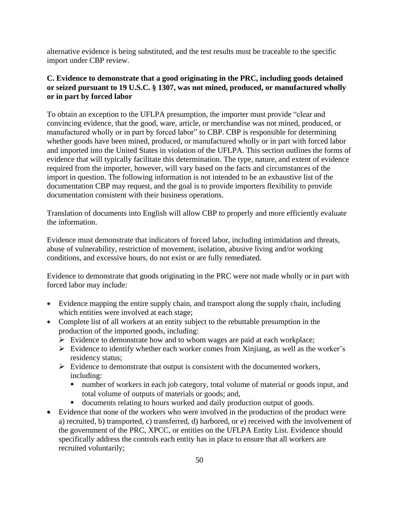alternative evidence is being substituted, and the test results must be traceable to the specific import under CBP review.

# **C. Evidence to demonstrate that a good originating in the PRC, including goods detained or seized pursuant to 19 U.S.C. § 1307, was not mined, produced, or manufactured wholly or in part by forced labor**

To obtain an exception to the UFLPA presumption, the importer must provide "clear and convincing evidence, that the good, ware, article, or merchandise was not mined, produced, or manufactured wholly or in part by forced labor" to CBP. CBP is responsible for determining whether goods have been mined, produced, or manufactured wholly or in part with forced labor and imported into the United States in violation of the UFLPA. This section outlines the forms of evidence that will typically facilitate this determination. The type, nature, and extent of evidence required from the importer, however, will vary based on the facts and circumstances of the import in question. The following information is not intended to be an exhaustive list of the documentation CBP may request, and the goal is to provide importers flexibility to provide documentation consistent with their business operations.

Translation of documents into English will allow CBP to properly and more efficiently evaluate the information.

Evidence must demonstrate that indicators of forced labor, including intimidation and threats, abuse of vulnerability, restriction of movement, isolation, abusive living and/or working conditions, and excessive hours, do not exist or are fully remediated.

Evidence to demonstrate that goods originating in the PRC were not made wholly or in part with forced labor may include:

- Evidence mapping the entire supply chain, and transport along the supply chain, including which entities were involved at each stage;
- Complete list of all workers at an entity subject to the rebuttable presumption in the production of the imported goods, including:
	- ➢ Evidence to demonstrate how and to whom wages are paid at each workplace;
	- ➢ Evidence to identify whether each worker comes from Xinjiang, as well as the worker's residency status;
	- $\triangleright$  Evidence to demonstrate that output is consistent with the documented workers, including:
		- number of workers in each job category, total volume of material or goods input, and total volume of outputs of materials or goods; and,
		- documents relating to hours worked and daily production output of goods.
- Evidence that none of the workers who were involved in the production of the product were a) recruited, b) transported, c) transferred, d) harbored, or e) received with the involvement of the government of the PRC, XPCC, or entities on the UFLPA Entity List. Evidence should specifically address the controls each entity has in place to ensure that all workers are recruited voluntarily;